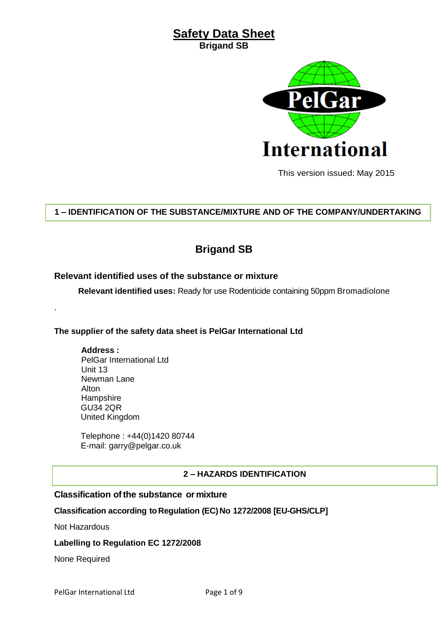

This version issued: May 2015

# **1 – IDENTIFICATION OF THE SUBSTANCE/MIXTURE AND OF THE COMPANY/UNDERTAKING**

# **Brigand SB**

# **Relevant identified uses of the substance or mixture**

**Relevant identified uses:** Ready for use Rodenticide containing 50ppm Bromadiolone

# **The supplier of the safety data sheet is PelGar International Ltd**

#### **Address :**

.

PelGar International Ltd Unit 13 Newman Lane Alton **Hampshire** GU34 2QR United Kingdom

Telephone : +44(0)1420 80744 E-mail: garry@pelgar.co.uk

# **2 – HAZARDS IDENTIFICATION**

# **Classification ofthe substance or mixture**

# **Classification according toRegulation (EC)No 1272/2008 [EU-GHS/CLP]**

Not Hazardous

#### **Labelling to Regulation EC 1272/2008**

None Required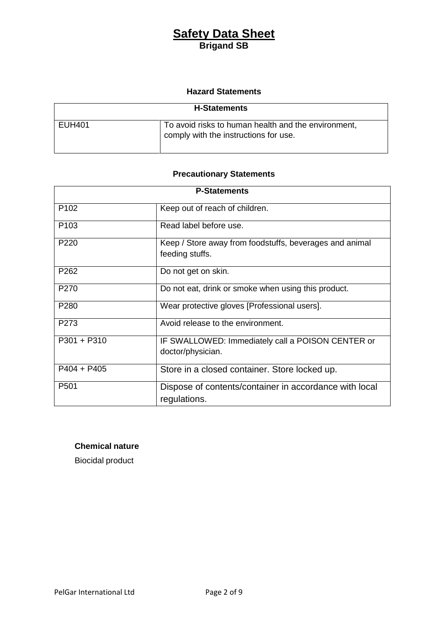# **Hazard Statements**

| <b>H-Statements</b> |                                                                                              |
|---------------------|----------------------------------------------------------------------------------------------|
| <b>EUH401</b>       | To avoid risks to human health and the environment,<br>comply with the instructions for use. |

# **Precautionary Statements**

| <b>P-Statements</b> |                                                                            |  |
|---------------------|----------------------------------------------------------------------------|--|
| P <sub>102</sub>    | Keep out of reach of children.                                             |  |
| P <sub>103</sub>    | Read label before use.                                                     |  |
| P <sub>220</sub>    | Keep / Store away from foodstuffs, beverages and animal<br>feeding stuffs. |  |
| P <sub>262</sub>    | Do not get on skin.                                                        |  |
| P <sub>270</sub>    | Do not eat, drink or smoke when using this product.                        |  |
| P <sub>280</sub>    | Wear protective gloves [Professional users].                               |  |
| P273                | Avoid release to the environment.                                          |  |
| $P301 + P310$       | IF SWALLOWED: Immediately call a POISON CENTER or<br>doctor/physician.     |  |
| $P404 + P405$       | Store in a closed container. Store locked up.                              |  |
| P <sub>501</sub>    | Dispose of contents/container in accordance with local<br>regulations.     |  |

# **Chemical nature**

Biocidal product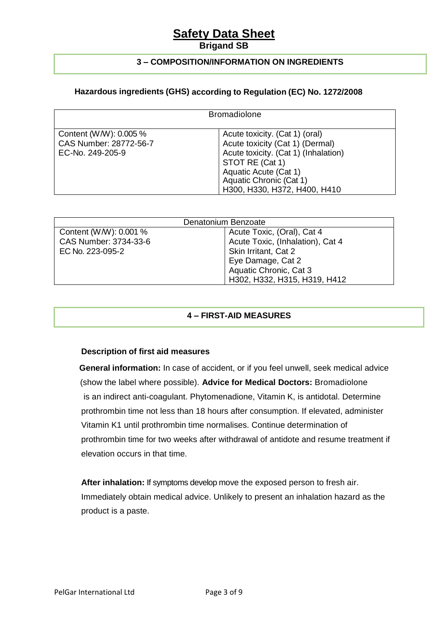# **Safety Data Sheet**

# **Brigand SB**

# **3 – COMPOSITION/INFORMATION ON INGREDIENTS**

# **Hazardous ingredients (GHS) according to Regulation (EC) No. 1272/2008**

|                                                                      | <b>Bromadiolone</b>                                                                                                                                                                                              |
|----------------------------------------------------------------------|------------------------------------------------------------------------------------------------------------------------------------------------------------------------------------------------------------------|
| Content (W/W): 0.005 %<br>CAS Number: 28772-56-7<br>EC-No. 249-205-9 | Acute toxicity. (Cat 1) (oral)<br>Acute toxicity (Cat 1) (Dermal)<br>Acute toxicity. (Cat 1) (Inhalation)<br>STOT RE (Cat 1)<br>Aquatic Acute (Cat 1)<br>Aquatic Chronic (Cat 1)<br>H300, H330, H372, H400, H410 |

| Denatonium Benzoate    |                                  |  |
|------------------------|----------------------------------|--|
| Content (W/W): 0.001 % | Acute Toxic, (Oral), Cat 4       |  |
| CAS Number: 3734-33-6  | Acute Toxic, (Inhalation), Cat 4 |  |
| EC No. 223-095-2       | Skin Irritant, Cat 2             |  |
|                        | Eye Damage, Cat 2                |  |
|                        | Aquatic Chronic, Cat 3           |  |
|                        | H302, H332, H315, H319, H412     |  |

# **4 – FIRST-AID MEASURES**

# **Description of first aid measures**

**General information:** In case of accident, or if you feel unwell, seek medical advice (show the label where possible). **Advice for Medical Doctors:** Bromadiolone is an indirect anti-coagulant. Phytomenadione, Vitamin K, is antidotal. Determine prothrombin time not less than 18 hours after consumption. If elevated, administer Vitamin K1 until prothrombin time normalises. Continue determination of prothrombin time for two weeks after withdrawal of antidote and resume treatment if elevation occurs in that time.

**After inhalation:** If symptoms develop move the exposed person to fresh air. Immediately obtain medical advice. Unlikely to present an inhalation hazard as the product is a paste.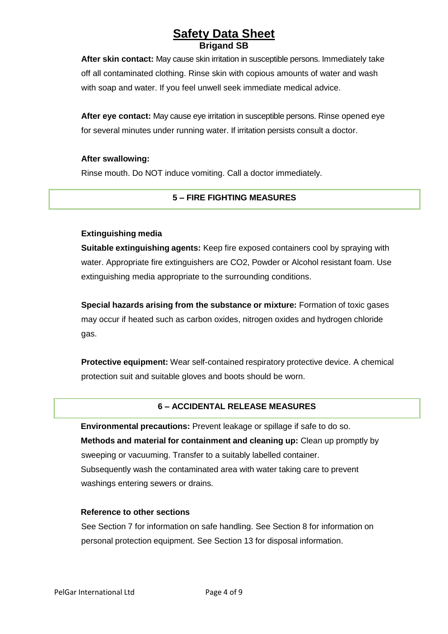**After skin contact:** May cause skin irritation in susceptible persons. Immediately take off all contaminated clothing. Rinse skin with copious amounts of water and wash with soap and water. If you feel unwell seek immediate medical advice.

**After eye contact:** May cause eye irritation in susceptible persons. Rinse opened eye for several minutes under running water. If irritation persists consult a doctor.

#### **After swallowing:**

Rinse mouth. Do NOT induce vomiting. Call a doctor immediately.

# **5 – FIRE FIGHTING MEASURES**

# **Extinguishing media**

**Suitable extinguishing agents:** Keep fire exposed containers cool by spraying with water. Appropriate fire extinguishers are CO2, Powder or Alcohol resistant foam. Use extinguishing media appropriate to the surrounding conditions.

**Special hazards arising from the substance or mixture:** Formation of toxic gases may occur if heated such as carbon oxides, nitrogen oxides and hydrogen chloride gas.

**Protective equipment:** Wear self-contained respiratory protective device. A chemical protection suit and suitable gloves and boots should be worn.

# **6 – ACCIDENTAL RELEASE MEASURES**

**Environmental precautions:** Prevent leakage or spillage if safe to do so. **Methods and material for containment and cleaning up:** Clean up promptly by sweeping or vacuuming. Transfer to a suitably labelled container. Subsequently wash the contaminated area with water taking care to prevent washings entering sewers or drains.

# **Reference to other sections**

See Section 7 for information on safe handling. See Section 8 for information on personal protection equipment. See Section 13 for disposal information.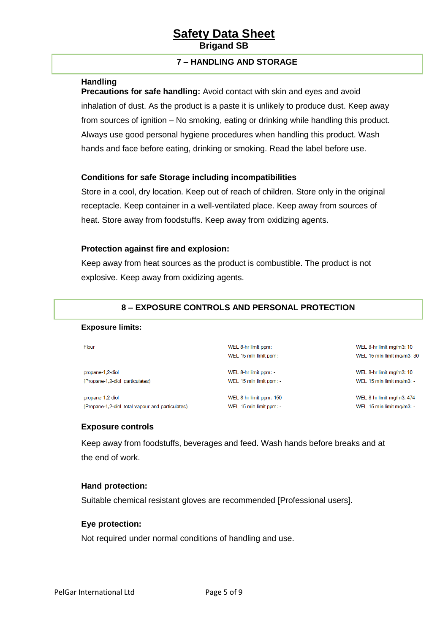# **7 – HANDLING AND STORAGE**

# **Handling**

**Precautions for safe handling:** Avoid contact with skin and eyes and avoid inhalation of dust. As the product is a paste it is unlikely to produce dust. Keep away from sources of ignition – No smoking, eating or drinking while handling this product. Always use good personal hygiene procedures when handling this product. Wash hands and face before eating, drinking or smoking. Read the label before use.

#### **Conditions for safe Storage including incompatibilities**

Store in a cool, dry location. Keep out of reach of children. Store only in the original receptacle. Keep container in a well-ventilated place. Keep away from sources of heat. Store away from foodstuffs. Keep away from oxidizing agents.

#### **Protection against fire and explosion:**

Keep away from heat sources as the product is combustible. The product is not explosive. Keep away from oxidizing agents.

# **8 – EXPOSURE CONTROLS AND PERSONAL PROTECTION**

#### **Exposure limits:**

Flour

propane-1,2-diol (Propane-1.2-diol particulates)

propane-1,2-diol (Propane-1,2-diol total vapour and particulates) WFI 15 min limit ppm: WEL 8-hr limit ppm: -

WEL 8-hr limit ppm:

WEL 8-hr limit ppm: 150 WEL 15 min limit ppm: -

WEL 15 min limit ppm: -

WEL 8-hr limit mg/m3: 10 WEL 15 min limit mg/m3: 30

WEL 8-hr limit mg/m3: 10 WEL 15 min limit mg/m3: -

WEL 8-hr limit mg/m3: 474 WEL 15 min limit mg/m3: -

# **Exposure controls**

Keep away from foodstuffs, beverages and feed. Wash hands before breaks and at the end of work.

#### **Hand protection:**

Suitable chemical resistant gloves are recommended [Professional users].

#### **Eye protection:**

Not required under normal conditions of handling and use.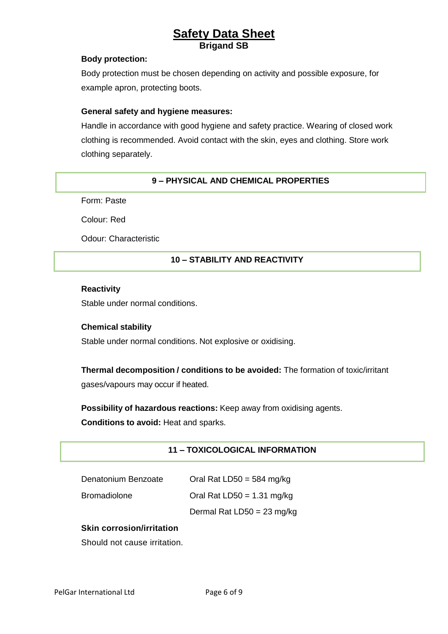## **Body protection:**

Body protection must be chosen depending on activity and possible exposure, for example apron, protecting boots.

## **General safety and hygiene measures:**

Handle in accordance with good hygiene and safety practice. Wearing of closed work clothing is recommended. Avoid contact with the skin, eyes and clothing. Store work clothing separately.

# **9 – PHYSICAL AND CHEMICAL PROPERTIES**

Form: Paste

Colour: Red

Odour: Characteristic

# **10 – STABILITY AND REACTIVITY**

## **Reactivity**

Stable under normal conditions.

# **Chemical stability**

Stable under normal conditions. Not explosive or oxidising.

# **Thermal decomposition / conditions to be avoided:** The formation of toxic/irritant

gases/vapours may occur if heated.

**Possibility of hazardous reactions:** Keep away from oxidising agents. **Conditions to avoid:** Heat and sparks.

# **11 – TOXICOLOGICAL INFORMATION**

| Denatonium Benzoate | Oral Rat LD50 = 584 mg/kg    |
|---------------------|------------------------------|
| <b>Bromadiolone</b> | Oral Rat LD50 = $1.31$ mg/kg |

Dermal Rat LD50 = 23 mg/kg

# **Skin corrosion/irritation**

Should not cause irritation.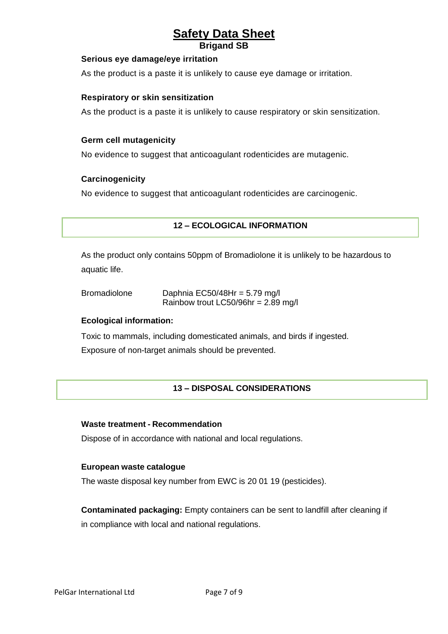## **Serious eye damage/eye irritation**

As the product is a paste it is unlikely to cause eye damage or irritation.

## **Respiratory or skin sensitization**

As the product is a paste it is unlikely to cause respiratory or skin sensitization.

## **Germ cell mutagenicity**

No evidence to suggest that anticoagulant rodenticides are mutagenic.

#### **Carcinogenicity**

No evidence to suggest that anticoagulant rodenticides are carcinogenic.

# **12 – ECOLOGICAL INFORMATION**

As the product only contains 50ppm of Bromadiolone it is unlikely to be hazardous to aquatic life.

| <b>Bromadiolone</b> | Daphnia EC50/48Hr = $5.79$ mg/l       |
|---------------------|---------------------------------------|
|                     | Rainbow trout LC50/96hr = $2.89$ mg/l |

#### **Ecological information:**

Toxic to mammals, including domesticated animals, and birds if ingested.

Exposure of non-target animals should be prevented.

# **13 – DISPOSAL CONSIDERATIONS**

#### **Waste treatment - Recommendation**

Dispose of in accordance with national and local regulations.

#### **European waste catalogue**

The waste disposal key number from EWC is 20 01 19 (pesticides).

**Contaminated packaging:** Empty containers can be sent to landfill after cleaning if in compliance with local and national regulations.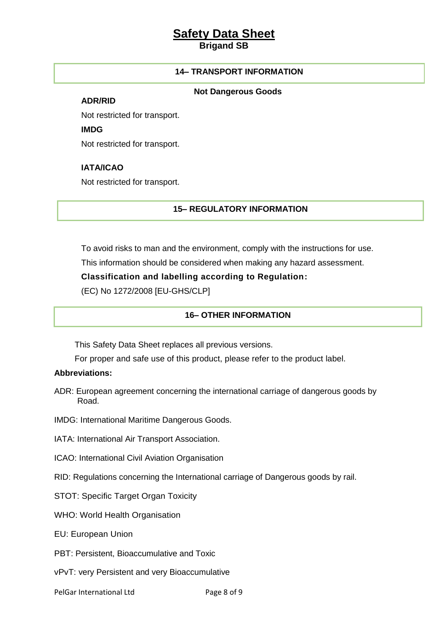# **Safety Data Sheet**

**Brigand SB**

# **14– TRANSPORT INFORMATION**

#### **Not Dangerous Goods**

**ADR/RID**

Not restricted for transport.

**IMDG**

Not restricted for transport.

# **IATA/ICAO**

Not restricted for transport.

# **15– REGULATORY INFORMATION**

To avoid risks to man and the environment, comply with the instructions for use.

This information should be considered when making any hazard assessment.

**Classification and labelling according to Regulation:**

(EC) No 1272/2008 [EU-GHS/CLP]

# **16– OTHER INFORMATION**

This Safety Data Sheet replaces all previous versions.

For proper and safe use of this product, please refer to the product label.

# **Abbreviations:**

ADR: European agreement concerning the international carriage of dangerous goods by Road.

IMDG: International Maritime Dangerous Goods.

IATA: International Air Transport Association.

ICAO: International Civil Aviation Organisation

RID: Regulations concerning the International carriage of Dangerous goods by rail.

STOT: Specific Target Organ Toxicity

WHO: World Health Organisation

EU: European Union

PBT: Persistent, Bioaccumulative and Toxic

vPvT: very Persistent and very Bioaccumulative

PelGar International Ltd Page 8 of 9